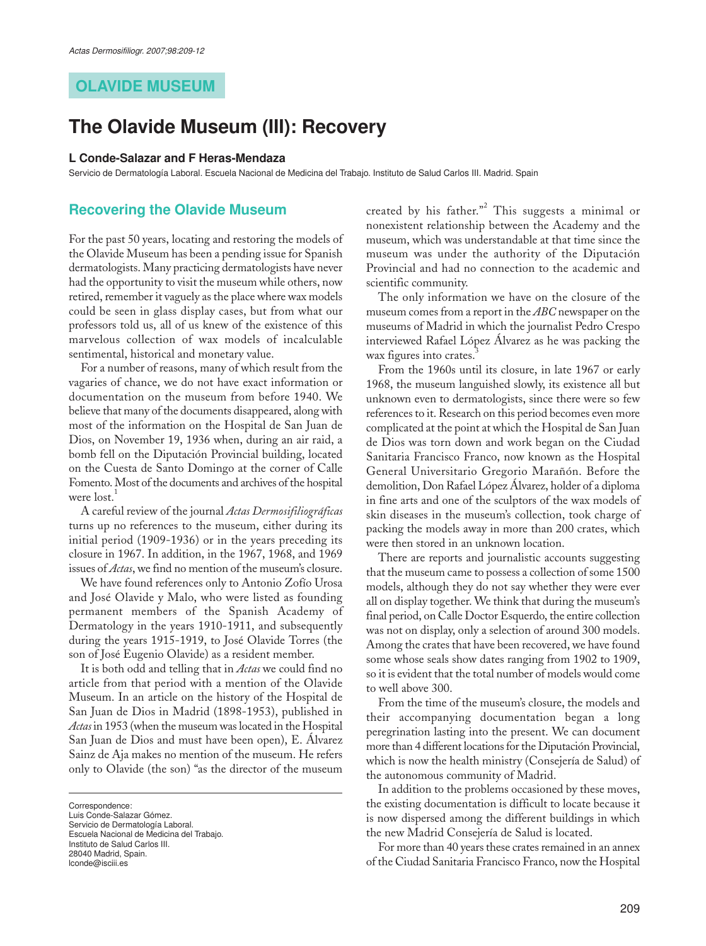## **OLAVIDE MUSEUM**

# **The Olavide Museum (III): Recovery**

#### **L Conde-Salazar and F Heras-Mendaza**

Servicio de Dermatología Laboral. Escuela Nacional de Medicina del Trabajo. Instituto de Salud Carlos III. Madrid. Spain

## **Recovering the Olavide Museum**

For the past 50 years, locating and restoring the models of the Olavide Museum has been a pending issue for Spanish dermatologists. Many practicing dermatologists have never had the opportunity to visit the museum while others, now retired, remember it vaguely as the place where wax models could be seen in glass display cases, but from what our professors told us, all of us knew of the existence of this marvelous collection of wax models of incalculable sentimental, historical and monetary value.

For a number of reasons, many of which result from the vagaries of chance, we do not have exact information or documentation on the museum from before 1940. We believe that many of the documents disappeared, along with most of the information on the Hospital de San Juan de Dios, on November 19, 1936 when, during an air raid, a bomb fell on the Diputación Provincial building, located on the Cuesta de Santo Domingo at the corner of Calle Fomento. Most of the documents and archives of the hospital were lost.<sup>1</sup>

A careful review of the journal *Actas Dermosifiliográficas* turns up no references to the museum, either during its initial period (1909-1936) or in the years preceding its closure in 1967. In addition, in the 1967, 1968, and 1969 issues of *Actas*, we find no mention of the museum's closure.

We have found references only to Antonio Zofío Urosa and José Olavide y Malo, who were listed as founding permanent members of the Spanish Academy of Dermatology in the years 1910-1911, and subsequently during the years 1915-1919, to José Olavide Torres (the son of José Eugenio Olavide) as a resident member.

It is both odd and telling that in *Actas* we could find no article from that period with a mention of the Olavide Museum. In an article on the history of the Hospital de San Juan de Dios in Madrid (1898-1953), published in *Actas* in 1953 (when the museum was located in the Hospital San Juan de Dios and must have been open), E. Álvarez Sainz de Aja makes no mention of the museum. He refers only to Olavide (the son) "as the director of the museum

Correspondence:

Escuela Nacional de Medicina del Trabajo. Instituto de Salud Carlos III. 28040 Madrid, Spain. lconde@isciii.es

created by his father."<sup>2</sup> This suggests a minimal or nonexistent relationship between the Academy and the museum, which was understandable at that time since the museum was under the authority of the Diputación Provincial and had no connection to the academic and scientific community.

The only information we have on the closure of the museum comes from a report in the *ABC* newspaper on the museums of Madrid in which the journalist Pedro Crespo interviewed Rafael López Álvarez as he was packing the wax figures into crates.

From the 1960s until its closure, in late 1967 or early 1968, the museum languished slowly, its existence all but unknown even to dermatologists, since there were so few references to it. Research on this period becomes even more complicated at the point at which the Hospital de San Juan de Dios was torn down and work began on the Ciudad Sanitaria Francisco Franco, now known as the Hospital General Universitario Gregorio Marañón. Before the demolition, Don Rafael López Álvarez, holder of a diploma in fine arts and one of the sculptors of the wax models of skin diseases in the museum's collection, took charge of packing the models away in more than 200 crates, which were then stored in an unknown location.

There are reports and journalistic accounts suggesting that the museum came to possess a collection of some 1500 models, although they do not say whether they were ever all on display together. We think that during the museum's final period, on Calle Doctor Esquerdo, the entire collection was not on display, only a selection of around 300 models. Among the crates that have been recovered, we have found some whose seals show dates ranging from 1902 to 1909, so it is evident that the total number of models would come to well above 300.

From the time of the museum's closure, the models and their accompanying documentation began a long peregrination lasting into the present. We can document more than 4 different locations for the Diputación Provincial, which is now the health ministry (Consejería de Salud) of the autonomous community of Madrid.

In addition to the problems occasioned by these moves, the existing documentation is difficult to locate because it is now dispersed among the different buildings in which the new Madrid Consejería de Salud is located.

For more than 40 years these crates remained in an annex of the Ciudad Sanitaria Francisco Franco, now the Hospital

Luis Conde-Salazar Gómez. Servicio de Dermatología Laboral.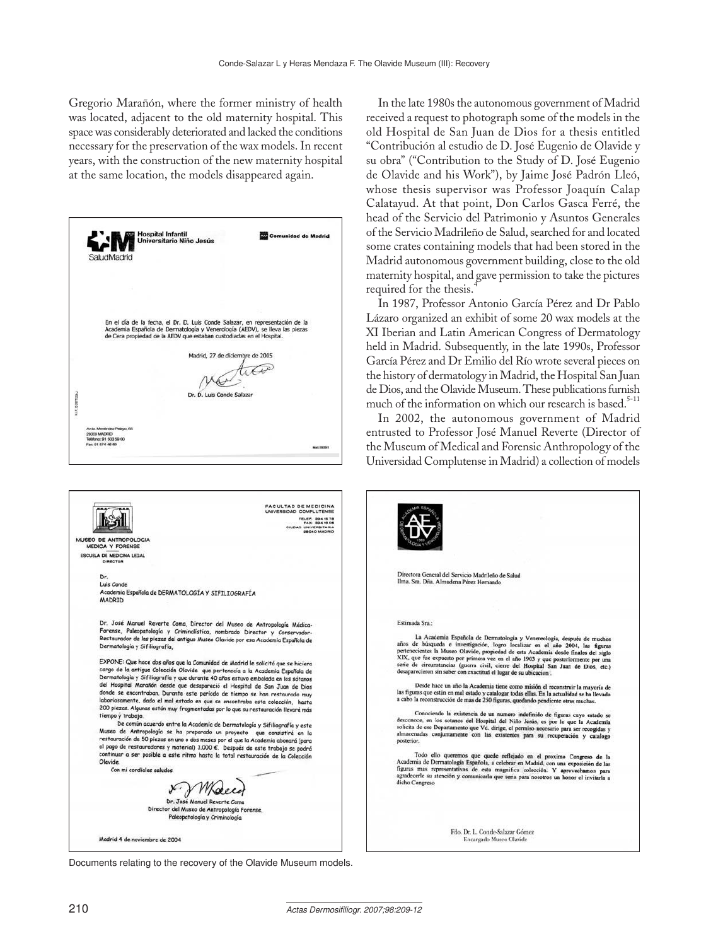Gregorio Marañón, where the former ministry of health was located, adjacent to the old maternity hospital. This space was considerably deteriorated and lacked the conditions necessary for the preservation of the wax models. In recent years, with the construction of the new maternity hospital at the same location, the models disappeared again.

| SaludMadrid<br>En el día de la fecha, el Dr. D. Luis Conde Salazar, en representación de la<br>Academia Española de Dermatología y Venerología (AEDV), se lleva las piezas<br>de Cera propiedad de la AEDV que estaban custodiadas en el Hospital.<br>Madrid, 27 de diciembre de 2005<br><b>ALLE: O DETTOOL</b><br>Dr. D. Luis Conde Salazar<br>Avda. Membridez Pelayo, 65<br>20009 MADRID<br>Tekhbno: 91 503 59 00<br>Fax: 91 574 46 69<br>Mot:00041<br>FACULTAD DE MEDICINA<br>UNIVERSIDAD COMPLUTENSE<br><b>TELEP. 3941578</b><br><b>FAX: 3941606</b><br>CIUDAD UNIVERSITARIA<br><b>GIROAD MADRID</b><br>MUSEO DE ANTROPOLOGIA<br><b>MEDICA Y FORENSE</b><br>ESCUELA DE MEDICINA LEGAL<br>DIRECTOR<br>Dr.<br>Luis Conde<br>Academia Española de DERMATOLOGÍA Y SIFILIOGRAFÍA<br>MADRID | <b>Hospital Infantil</b><br>Universitario Niño Jesús | Comunidad de Madrid |
|-------------------------------------------------------------------------------------------------------------------------------------------------------------------------------------------------------------------------------------------------------------------------------------------------------------------------------------------------------------------------------------------------------------------------------------------------------------------------------------------------------------------------------------------------------------------------------------------------------------------------------------------------------------------------------------------------------------------------------------------------------------------------------------------|------------------------------------------------------|---------------------|
|                                                                                                                                                                                                                                                                                                                                                                                                                                                                                                                                                                                                                                                                                                                                                                                           |                                                      |                     |
|                                                                                                                                                                                                                                                                                                                                                                                                                                                                                                                                                                                                                                                                                                                                                                                           |                                                      |                     |
|                                                                                                                                                                                                                                                                                                                                                                                                                                                                                                                                                                                                                                                                                                                                                                                           |                                                      |                     |
|                                                                                                                                                                                                                                                                                                                                                                                                                                                                                                                                                                                                                                                                                                                                                                                           |                                                      |                     |
|                                                                                                                                                                                                                                                                                                                                                                                                                                                                                                                                                                                                                                                                                                                                                                                           |                                                      |                     |
|                                                                                                                                                                                                                                                                                                                                                                                                                                                                                                                                                                                                                                                                                                                                                                                           |                                                      |                     |
|                                                                                                                                                                                                                                                                                                                                                                                                                                                                                                                                                                                                                                                                                                                                                                                           |                                                      |                     |
|                                                                                                                                                                                                                                                                                                                                                                                                                                                                                                                                                                                                                                                                                                                                                                                           |                                                      |                     |
|                                                                                                                                                                                                                                                                                                                                                                                                                                                                                                                                                                                                                                                                                                                                                                                           |                                                      |                     |
|                                                                                                                                                                                                                                                                                                                                                                                                                                                                                                                                                                                                                                                                                                                                                                                           |                                                      |                     |
|                                                                                                                                                                                                                                                                                                                                                                                                                                                                                                                                                                                                                                                                                                                                                                                           |                                                      |                     |
|                                                                                                                                                                                                                                                                                                                                                                                                                                                                                                                                                                                                                                                                                                                                                                                           |                                                      |                     |
|                                                                                                                                                                                                                                                                                                                                                                                                                                                                                                                                                                                                                                                                                                                                                                                           |                                                      |                     |
|                                                                                                                                                                                                                                                                                                                                                                                                                                                                                                                                                                                                                                                                                                                                                                                           |                                                      |                     |
|                                                                                                                                                                                                                                                                                                                                                                                                                                                                                                                                                                                                                                                                                                                                                                                           |                                                      |                     |
|                                                                                                                                                                                                                                                                                                                                                                                                                                                                                                                                                                                                                                                                                                                                                                                           |                                                      |                     |
|                                                                                                                                                                                                                                                                                                                                                                                                                                                                                                                                                                                                                                                                                                                                                                                           |                                                      |                     |
|                                                                                                                                                                                                                                                                                                                                                                                                                                                                                                                                                                                                                                                                                                                                                                                           |                                                      |                     |
|                                                                                                                                                                                                                                                                                                                                                                                                                                                                                                                                                                                                                                                                                                                                                                                           |                                                      |                     |
|                                                                                                                                                                                                                                                                                                                                                                                                                                                                                                                                                                                                                                                                                                                                                                                           |                                                      |                     |
|                                                                                                                                                                                                                                                                                                                                                                                                                                                                                                                                                                                                                                                                                                                                                                                           |                                                      |                     |
|                                                                                                                                                                                                                                                                                                                                                                                                                                                                                                                                                                                                                                                                                                                                                                                           |                                                      |                     |
|                                                                                                                                                                                                                                                                                                                                                                                                                                                                                                                                                                                                                                                                                                                                                                                           |                                                      |                     |
|                                                                                                                                                                                                                                                                                                                                                                                                                                                                                                                                                                                                                                                                                                                                                                                           |                                                      |                     |
|                                                                                                                                                                                                                                                                                                                                                                                                                                                                                                                                                                                                                                                                                                                                                                                           |                                                      |                     |
|                                                                                                                                                                                                                                                                                                                                                                                                                                                                                                                                                                                                                                                                                                                                                                                           |                                                      |                     |
|                                                                                                                                                                                                                                                                                                                                                                                                                                                                                                                                                                                                                                                                                                                                                                                           |                                                      |                     |
|                                                                                                                                                                                                                                                                                                                                                                                                                                                                                                                                                                                                                                                                                                                                                                                           |                                                      |                     |
|                                                                                                                                                                                                                                                                                                                                                                                                                                                                                                                                                                                                                                                                                                                                                                                           |                                                      |                     |
|                                                                                                                                                                                                                                                                                                                                                                                                                                                                                                                                                                                                                                                                                                                                                                                           |                                                      |                     |

Dr. José Manuel Reverte Coma, Director del Museo de Antropología Médica-<br>Forense, Paleopatología y Criminalística, nombrado Director y Conservador-Restaurador de las piezas del antiguo Museo Olavide por esa Academia Española de Dermatología y Sifiliografía,

EXPONE: Que hace dos años que la Comunidad de Madrid le solicitó que se hiciera cargo de la antigua Colección Olavide que pertenecía a la Academia Española de<br>Dermatología y Sifiliografía y que durante 40 años estuvo embalada en los sótanos<br>del Hospital Marañón desde que desapareció el Hospital de San donde se encontraban. Durante este período de tiempo se han restaurado muy aonae se encontraban. Durante este periodo de tiempo se han restaurado muy<br>laboriosamente, dado el mal estado en que se encontraba esta colección, hasta<br>200 piezas. Algunas están muy fragmentadas por lo que su restauración tiempo y trabajo.

.<br>De común acuerdo entre la Academia de Dermatología y Sifiliografía y este Museo de Antropología se ha preparado un proyecto que consistirá en la restauración de 50 piezas en uno o dos meses por el que la Academia abonaría (para<br>el pago de restauradores y material) 3.000 €. Después de este trabajo se podrá<br>continuar a ser posible a este ritmo hasta la total restaura Olavide. Con mi cordiales saludos

Dr. José Manuel Reverte Coma Director del Museo de Antropología Forense

Paleopatología y Criminología

Madrid 4 de noviembre de 2004

Documents relating to the recovery of the Olavide Museum models.

In the late 1980s the autonomous government of Madrid received a request to photograph some of the models in the old Hospital de San Juan de Dios for a thesis entitled "Contribución al estudio de D. José Eugenio de Olavide y su obra" ("Contribution to the Study of D. José Eugenio de Olavide and his Work"), by Jaime José Padrón Lleó, whose thesis supervisor was Professor Joaquín Calap Calatayud. At that point, Don Carlos Gasca Ferré, the head of the Servicio del Patrimonio y Asuntos Generales of the Servicio Madrileño de Salud, searched for and located some crates containing models that had been stored in the Madrid autonomous government building, close to the old maternity hospital, and gave permission to take the pictures required for the thesis.

In 1987, Professor Antonio García Pérez and Dr Pablo Lázaro organized an exhibit of some 20 wax models at the XI Iberian and Latin American Congress of Dermatology held in Madrid. Subsequently, in the late 1990s, Professor García Pérez and Dr Emilio del Río wrote several pieces on the history of dermatology in Madrid, the Hospital San Juan de Dios, and the Olavide Museum. These publications furnish much of the information on which our research is based. $5-11$ 

In 2002, the autonomous government of Madrid entrusted to Professor José Manuel Reverte (Director of the Museum of Medical and Forensic Anthropology of the Universidad Complutense in Madrid) a collection of models

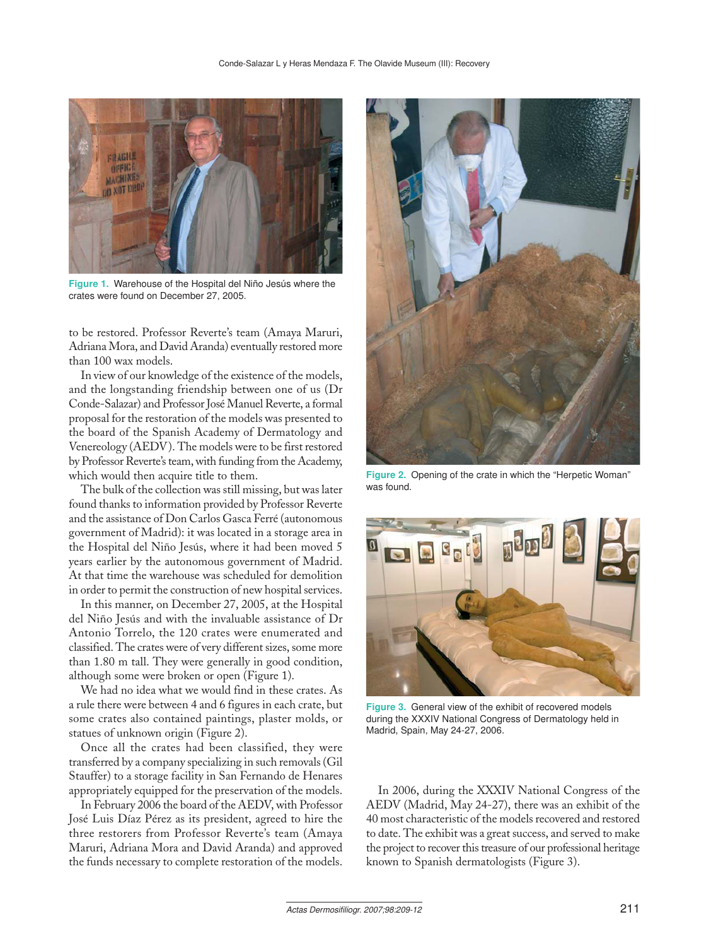

**Figure 1.** Warehouse of the Hospital del Niño Jesús where the crates were found on December 27, 2005.

to be restored. Professor Reverte's team (Amaya Maruri, Adriana Mora, and David Aranda) eventually restored more than 100 wax models.

In view of our knowledge of the existence of the models, and the longstanding friendship between one of us (Dr Conde-Salazar) and Professor José Manuel Reverte, a formal proposal for the restoration of the models was presented to the board of the Spanish Academy of Dermatology and Venereology (AEDV). The models were to be first restored by Professor Reverte's team, with funding from the Academy, which would then acquire title to them.

The bulk of the collection was still missing, but was later found thanks to information provided by Professor Reverte and the assistance of Don Carlos Gasca Ferré (autonomous government of Madrid): it was located in a storage area in the Hospital del Niño Jesús, where it had been moved 5 years earlier by the autonomous government of Madrid. At that time the warehouse was scheduled for demolition in order to permit the construction of new hospital services.

In this manner, on December 27, 2005, at the Hospital del Niño Jesús and with the invaluable assistance of Dr Antonio Torrelo, the 120 crates were enumerated and classified. The crates were of very different sizes, some more than 1.80 m tall. They were generally in good condition, although some were broken or open (Figure 1).

We had no idea what we would find in these crates. As a rule there were between 4 and 6 figures in each crate, but some crates also contained paintings, plaster molds, or statues of unknown origin (Figure 2).

Once all the crates had been classified, they were transferred by a company specializing in such removals (Gil Stauffer) to a storage facility in San Fernando de Henares appropriately equipped for the preservation of the models.

In February 2006 the board of the AEDV, with Professor José Luis Díaz Pérez as its president, agreed to hire the three restorers from Professor Reverte's team (Amaya Maruri, Adriana Mora and David Aranda) and approved the funds necessary to complete restoration of the models.



**Figure 2.** Opening of the crate in which the "Herpetic Woman" was found.



**Figure 3.** General view of the exhibit of recovered models during the XXXIV National Congress of Dermatology held in Madrid, Spain, May 24-27, 2006.

In 2006, during the XXXIV National Congress of the AEDV (Madrid, May 24-27), there was an exhibit of the 40 most characteristic of the models recovered and restored to date. The exhibit was a great success, and served to make the project to recover this treasure of our professional heritage known to Spanish dermatologists (Figure 3).